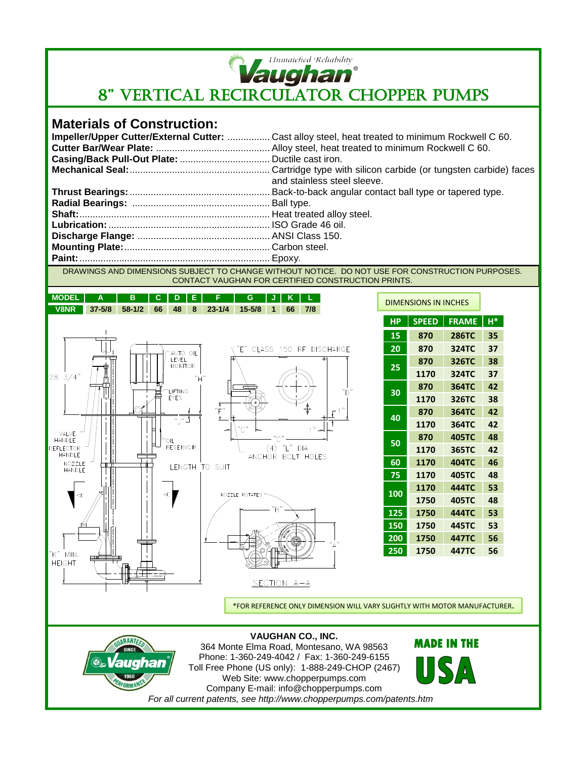

**Example of Reliability**<br>8" VERTICAL RECIRCULATOR CHOPPER PUMPS

## **Materials of Construction:**

| Impeller/Upper Cutter/External Cutter:  Cast alloy steel, heat treated to minimum Rockwell C 60. |
|--------------------------------------------------------------------------------------------------|
|                                                                                                  |
|                                                                                                  |
|                                                                                                  |
| and stainless steel sleeve.                                                                      |
|                                                                                                  |
|                                                                                                  |
|                                                                                                  |
|                                                                                                  |
|                                                                                                  |
|                                                                                                  |
|                                                                                                  |

DRAWINGS AND DIMENSIONS SUBJECT TO CHANGE WITHOUT NOTICE. DO NOT USE FOR CONSTRUCTION PURPOSES. CONTACT VAUGHAN FOR CERTIFIED CONSTRUCTION PRINTS.

| <b>MODEL</b>                         | Α          | в          | С  | n                                   |     | F              | G                | J   | Κ             | г                      |
|--------------------------------------|------------|------------|----|-------------------------------------|-----|----------------|------------------|-----|---------------|------------------------|
| <b>V8NR</b>                          | $37 - 5/8$ | $58 - 1/2$ | 66 | 48                                  | 8   | $23 - 1/4$     | $15 - 5/8$       | 1   | 66            | 7/8                    |
|                                      |            |            |    |                                     |     |                |                  |     |               |                        |
|                                      |            |            |    |                                     |     |                | "E"              |     |               | CLASS 150 RF DISCHARGE |
|                                      |            |            |    | AUTO OIL<br>LEVEL<br><b>MONITOR</b> |     |                |                  |     |               |                        |
| $28 \frac{3}{4}$                     |            |            |    |                                     | "H" |                |                  |     |               |                        |
|                                      |            |            |    | LIFTING<br><b>EYES</b>              |     |                |                  |     |               |                        |
|                                      |            |            |    |                                     |     | т<br>"F"       |                  |     |               |                        |
|                                      |            |            |    | $"$ $"$                             |     | 1              | "G"              |     |               |                        |
| VALVE<br>HANDLE                      |            |            |    | OIL.                                |     |                |                  |     |               |                        |
| <b>DEFLECTOR</b><br>HANDLE           |            |            |    | <b>RESERVOIR</b>                    |     |                |                  |     | $(4)$ "L" DIA | ANCHOR BOLT HOLES      |
| NOZZLE<br>HANDLE                     |            |            |    |                                     |     | LENGTH TO SUIT |                  |     |               |                        |
|                                      |            |            |    |                                     |     |                |                  |     |               |                        |
| $\prec$                              |            |            |    | $\prec$                             |     |                | NOZZLE ROTATES " |     |               |                        |
|                                      |            |            |    |                                     |     |                |                  | "R" |               |                        |
|                                      |            |            |    |                                     |     |                |                  |     |               |                        |
|                                      |            |            |    |                                     |     |                |                  |     |               |                        |
| $"\mathsf{K}"$ MIN.<br><b>HEIGHT</b> | $\Box$     |            |    |                                     |     |                |                  |     |               |                        |
|                                      |            |            |    |                                     |     |                |                  |     |               |                        |
|                                      |            |            |    |                                     |     |                |                  |     | SECTION A-A   |                        |

| <b>DIMENSIONS IN INCHES</b> |              |              |       |  |  |  |  |  |  |
|-----------------------------|--------------|--------------|-------|--|--|--|--|--|--|
| <b>HP</b>                   | <b>SPEED</b> | <b>FRAME</b> | $H^*$ |  |  |  |  |  |  |
| 15                          | 870          | 286TC        | 35    |  |  |  |  |  |  |
| 20                          | 870          | 324TC        | 37    |  |  |  |  |  |  |
| 25                          | 870          | 326TC        | 38    |  |  |  |  |  |  |
|                             | 1170         | 324TC        | 37    |  |  |  |  |  |  |
| 30                          | 870          | 364TC        | 42    |  |  |  |  |  |  |
|                             | 1170         | 326TC        | 38    |  |  |  |  |  |  |
| 40                          | 870          | 364TC        | 42    |  |  |  |  |  |  |
|                             | 1170         | <b>364TC</b> | 42    |  |  |  |  |  |  |
| 50                          | 870          | <b>405TC</b> | 48    |  |  |  |  |  |  |
|                             | 1170         | 365TC        | 42    |  |  |  |  |  |  |
| 60                          | 1170         | <b>404TC</b> | 46    |  |  |  |  |  |  |
| 75                          | 1170         | <b>405TC</b> | 48    |  |  |  |  |  |  |
| 100                         | 1170         | <b>444TC</b> | 53    |  |  |  |  |  |  |
|                             | 1750         | <b>405TC</b> | 48    |  |  |  |  |  |  |
| 125                         | 1750         | 444TC        | 53    |  |  |  |  |  |  |
| 150                         | 1750         | <b>445TC</b> | 53    |  |  |  |  |  |  |
| 200                         | 1750         | 447TC        | 56    |  |  |  |  |  |  |
| 250                         | 1750         | 447TC        | 56    |  |  |  |  |  |  |

\*FOR REFERENCE ONLY DIMENSION WILL VARY SLIGHTLY WITH MOTOR MANUFACTURER.



**VAUGHAN CO., INC.** 364 Monte Elma Road, Montesano, WA 98563 Phone: 1-360-249-4042 / Fax: 1-360-249-6155 Toll Free Phone (US only): 1-888-249-CHOP (2467) Web Site: www.chopperpumps.com Company E-mail: info@chopperpumps.com *For all current patents, see http://www.chopperpumps.com/patents.htm*